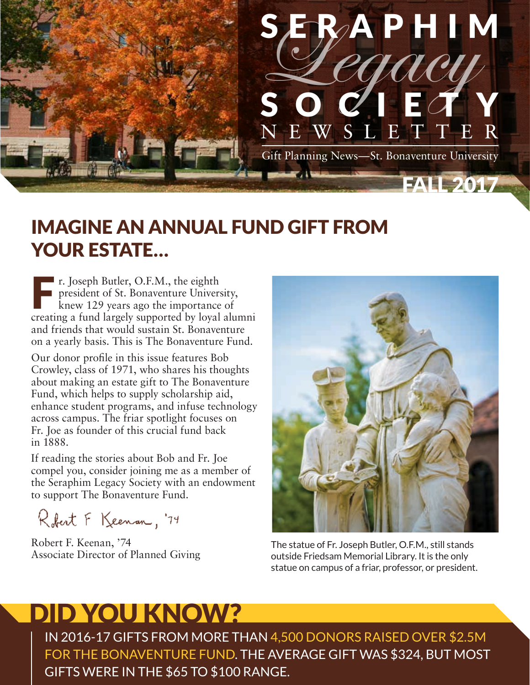

### IMAGINE AN ANNUAL FUND GIFT FROM YOUR ESTATE…

Fr. Joseph Butler, O.F.M., the eighth president of St. Bonaventure University, knew 129 years ago the importance of creating a fund largely supported by loyal alumni and friends that would sustain St. Bonaventure on a yearly basis. This is The Bonaventure Fund.

Our donor profile in this issue features Bob Crowley, class of 1971, who shares his thoughts about making an estate gift to The Bonaventure Fund, which helps to supply scholarship aid, enhance student programs, and infuse technology across campus. The friar spotlight focuses on Fr. Joe as founder of this crucial fund back in 1888.

If reading the stories about Bob and Fr. Joe compel you, consider joining me as a member of the Seraphim Legacy Society with an endowment to support The Bonaventure Fund.

Robert F Keenan, '74

Robert F. Keenan, '74 Associate Director of Planned Giving



The statue of Fr. Joseph Butler, O.F.M., still stands outside Friedsam Memorial Library. It is the only statue on campus of a friar, professor, or president.

# DID YOU KNOW?

IN 2016-17 GIFTS FROM MORE THAN 4,500 DONORS RAISED OVER \$2.5M FOR THE BONAVENTURE FUND. THE AVERAGE GIFT WAS \$324, BUT MOST GIFTS WERE IN THE \$65 TO \$100 RANGE.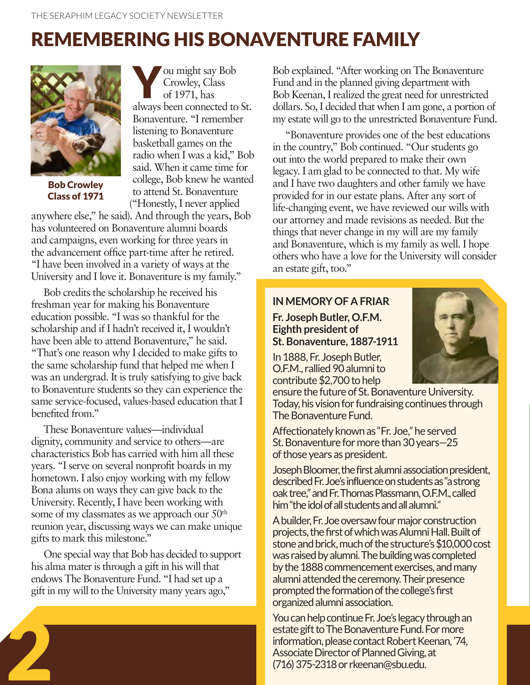### REMEMBERING HIS BONAVENTURE FAMILY



Bob Crowley Class of 1971

You might say Bob Crowley, Class of 1971, has always been connected to St. Bonaventure. "I remember listening to Bonaventure basketball games on the radio when I was a kid," Bob said. When it came time for college, Bob knew he wanted to attend St. Bonaventure ("Honestly, I never applied

anywhere else," he said). And through the years, Bob has volunteered on Bonaventure alumni boards and campaigns, even working for three years in the advancement office part-time after he retired. "I have been involved in a variety of ways at the University and I love it. Bonaventure is my family."

Bob credits the scholarship he received his freshman year for making his Bonaventure education possible. "I was so thankful for the scholarship and if I hadn't received it, I wouldn't have been able to attend Bonaventure," he said. "That's one reason why I decided to make gifts to the same scholarship fund that helped me when I was an undergrad. It is truly satisfying to give back to Bonaventure students so they can experience the same service-focused, values-based education that I benefited from."

These Bonaventure values—individual dignity, community and service to others—are characteristics Bob has carried with him all these years. "I serve on several nonprofit boards in my hometown. I also enjoy working with my fellow Bona alums on ways they can give back to the University. Recently, I have been working with some of my classmates as we approach our  $50<sup>th</sup>$ reunion year, discussing ways we can make unique gifts to mark this milestone."

One special way that Bob has decided to support his alma mater is through a gift in his will that endows The Bonaventure Fund. "I had set up a gift in my will to the University many years ago,"

2

Bob explained. "After working on The Bonaventure Fund and in the planned giving department with Bob Keenan, I realized the great need for unrestricted dollars. So, I decided that when I am gone, a portion of my estate will go to the unrestricted Bonaventure Fund.

"Bonaventure provides one of the best educations in the country," Bob continued. "Our students go out into the world prepared to make their own legacy. I am glad to be connected to that. My wife and I have two daughters and other family we have provided for in our estate plans. After any sort of life-changing event, we have reviewed our wills with our attorney and made revisions as needed. But the things that never change in my will are my family and Bonaventure, which is my family as well. I hope others who have a love for the University will consider an estate gift, too."

### **IN MEMORY OF A FRIAR**

#### **Fr. Joseph Butler, O.F.M. Eighth president of St. Bonaventure, 1887-1911**

In 1888, Fr. Joseph Butler, O.F.M., rallied 90 alumni to contribute \$2,700 to help

ensure the future of St. Bonaventure University. Today, his vision for fundraising continues through The Bonaventure Fund.

Affectionately known as "Fr. Joe," he served St. Bonaventure for more than 30 years—25 of those years as president.

Joseph Bloomer, the first alumni association president, described Fr. Joe's influence on students as "a strong oak tree," and Fr. Thomas Plassmann, O.F.M., called him "the idol of all students and all alumni."

A builder, Fr. Joe oversaw four major construction projects, the first of which was Alumni Hall. Built of stone and brick, much of the structure's \$10,000 cost was raised by alumni. The building was completed by the 1888 commencement exercises, and many alumni attended the ceremony. Their presence prompted the formation of the college's first organized alumni association.

You can help continue Fr. Joe's legacy through an estate gift to The Bonaventure Fund. For more information, please contact Robert Keenan, '74, Associate Director of Planned Giving, at (716) 375-2318 or rkeenan@sbu.edu.

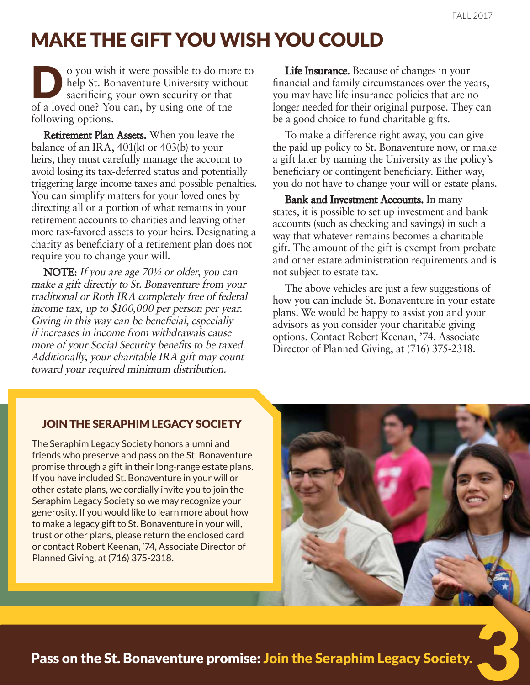# MAKE THE GIFT YOU WISH YOU COULD

O you wish it were possible to do more to<br>help St. Bonaventure University without<br>sacrificing your own security or that help St. Bonaventure University without sacrificing your own security or that of a loved one? You can, by using one of the following options.

Retirement Plan Assets. When you leave the balance of an IRA,  $401(k)$  or  $403(k)$  to your heirs, they must carefully manage the account to avoid losing its tax-deferred status and potentially triggering large income taxes and possible penalties. You can simplify matters for your loved ones by directing all or a portion of what remains in your retirement accounts to charities and leaving other more tax-favored assets to your heirs. Designating a charity as beneficiary of a retirement plan does not require you to change your will.

NOTE: If you are age 70½ or older, you can make a gift directly to St. Bonaventure from your traditional or Roth IRA completely free of federal income tax, up to \$100,000 per person per year. Giving in this way can be beneficial, especially if increases in income from withdrawals cause more of your Social Security benefits to be taxed. Additionally, your charitable IRA gift may count toward your required minimum distribution.

Life Insurance. Because of changes in your financial and family circumstances over the years, you may have life insurance policies that are no longer needed for their original purpose. They can be a good choice to fund charitable gifts.

To make a difference right away, you can give the paid up policy to St. Bonaventure now, or make a gift later by naming the University as the policy's beneficiary or contingent beneficiary. Either way, you do not have to change your will or estate plans.

Bank and Investment Accounts. In many states, it is possible to set up investment and bank accounts (such as checking and savings) in such a way that whatever remains becomes a charitable gift. The amount of the gift is exempt from probate and other estate administration requirements and is not subject to estate tax.

The above vehicles are just a few suggestions of how you can include St. Bonaventure in your estate plans. We would be happy to assist you and your advisors as you consider your charitable giving options. Contact Robert Keenan, '74, Associate Director of Planned Giving, at (716) 375-2318.

### JOIN THE SERAPHIM LEGACY SOCIETY

The Seraphim Legacy Society honors alumni and friends who preserve and pass on the St. Bonaventure promise through a gift in their long-range estate plans. If you have included St. Bonaventure in your will or other estate plans, we cordially invite you to join the Seraphim Legacy Society so we may recognize your generosity. If you would like to learn more about how to make a legacy gift to St. Bonaventure in your will, trust or other plans, please return the enclosed card or contact Robert Keenan, '74, Associate Director of Planned Giving, at (716) 375-2318.